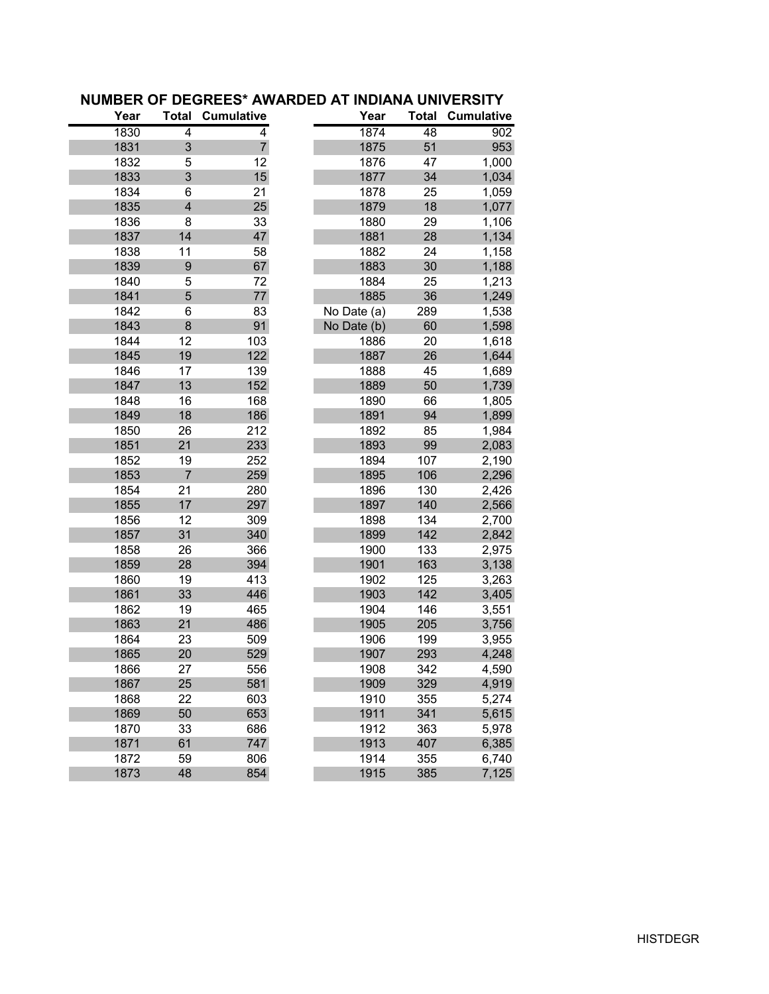| Year | <b>Total</b>            | <b>Cumulative</b> | Year        | <b>Total</b> | <b>Cumulative</b> |
|------|-------------------------|-------------------|-------------|--------------|-------------------|
| 1830 | 4                       | 4                 | 1874        | 48           | 902               |
| 1831 | 3                       | $\overline{7}$    | 1875        | 51           | 953               |
| 1832 | 5                       | 12                | 1876        | 47           | 1,000             |
| 1833 | 3                       | 15                | 1877        | 34           | 1,034             |
| 1834 | 6                       | 21                | 1878        | 25           | 1,059             |
| 1835 | $\overline{\mathbf{4}}$ | 25                | 1879        | 18           | 1,077             |
| 1836 | 8                       | 33                | 1880        | 29           | 1,106             |
| 1837 | 14                      | 47                | 1881        | 28           | 1,134             |
| 1838 | 11                      | 58                | 1882        | 24           | 1,158             |
| 1839 | 9                       | 67                | 1883        | 30           | 1,188             |
| 1840 | 5                       | 72                | 1884        | 25           | 1,213             |
| 1841 | 5                       | 77                | 1885        | 36           | 1,249             |
| 1842 | 6                       | 83                | No Date (a) | 289          | 1,538             |
| 1843 | 8                       | 91                | No Date (b) | 60           | 1,598             |
| 1844 | 12                      | 103               | 1886        | 20           | 1,618             |
| 1845 | 19                      | 122               | 1887        | 26           | 1,644             |
| 1846 | 17                      | 139               | 1888        | 45           | 1,689             |
| 1847 | 13                      | 152               | 1889        | 50           | 1,739             |
| 1848 | 16                      | 168               | 1890        | 66           | 1,805             |
| 1849 | 18                      | 186               | 1891        | 94           | 1,899             |
| 1850 | 26                      | 212               | 1892        | 85           | 1,984             |
| 1851 | 21                      | 233               | 1893        | 99           | 2,083             |
| 1852 | 19                      | 252               | 1894        | 107          | 2,190             |
| 1853 | $\overline{7}$          | 259               | 1895        | 106          | 2,296             |
| 1854 | 21                      | 280               | 1896        | 130          | 2,426             |
| 1855 | 17                      | 297               | 1897        | 140          | 2,566             |
| 1856 | 12                      | 309               | 1898        | 134          | 2,700             |
| 1857 | 31                      | 340               | 1899        | 142          | 2,842             |
| 1858 | 26                      | 366               | 1900        | 133          | 2,975             |
| 1859 | 28                      | 394               | 1901        | 163          | 3,138             |
| 1860 | 19                      | 413               | 1902        | 125          | 3,263             |
| 1861 | 33                      | 446               | 1903        | 142          | 3,405             |
| 1862 | 19                      | 465               | 1904        | 146          | 3,551             |
| 1863 | 21                      | 486               | 1905        | 205          | 3,756             |
| 1864 | 23                      | 509               | 1906        | 199          | 3,955             |
| 1865 | 20                      | 529               | 1907        | 293          | 4,248             |
| 1866 | 27                      | 556               | 1908        | 342          | 4,590             |
| 1867 | 25                      | 581               | 1909        | 329          | 4,919             |
| 1868 | 22                      | 603               | 1910        | 355          | 5,274             |
| 1869 | 50                      | 653               | 1911        | 341          | 5,615             |
| 1870 | 33                      | 686               | 1912        | 363          | 5,978             |
| 1871 | 61                      | 747               | 1913        | 407          | 6,385             |
| 1872 | 59                      | 806               | 1914        | 355          | 6,740             |
| 1873 | 48                      | 854               | 1915        | 385          | 7,125             |

## **NUMBER OF DEGREES\* AWARDED AT INDIANA UNIVERSITY**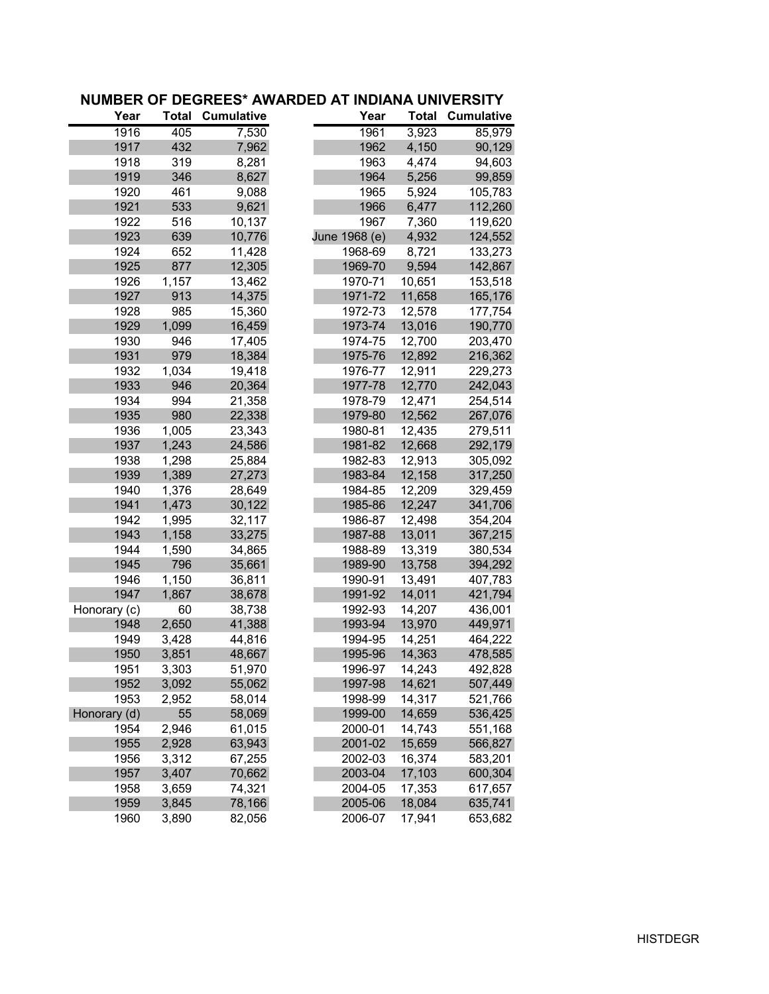| Year         | <b>Total</b> | <b>Cumulative</b> | Year          | <b>Total</b> | <b>Cumulative</b> |
|--------------|--------------|-------------------|---------------|--------------|-------------------|
| 1916         | 405          | 7,530             | 1961          | 3,923        | 85,979            |
| 1917         | 432          | 7,962             | 1962          | 4,150        | 90,129            |
| 1918         | 319          | 8,281             | 1963          | 4,474        | 94,603            |
| 1919         | 346          | 8,627             | 1964          | 5,256        | 99,859            |
| 1920         | 461          | 9,088             | 1965          | 5,924        | 105,783           |
| 1921         | 533          | 9,621             | 1966          | 6,477        | 112,260           |
| 1922         | 516          | 10,137            | 1967          | 7,360        | 119,620           |
| 1923         | 639          | 10,776            | June 1968 (e) | 4,932        | 124,552           |
| 1924         | 652          | 11,428            | 1968-69       | 8,721        | 133,273           |
| 1925         | 877          | 12,305            | 1969-70       | 9,594        | 142,867           |
| 1926         | 1,157        | 13,462            | 1970-71       | 10,651       | 153,518           |
| 1927         | 913          | 14,375            | 1971-72       | 11,658       | 165,176           |
| 1928         | 985          | 15,360            | 1972-73       | 12,578       | 177,754           |
| 1929         | 1,099        | 16,459            | 1973-74       | 13,016       | 190,770           |
| 1930         | 946          | 17,405            | 1974-75       | 12,700       | 203,470           |
| 1931         | 979          | 18,384            | 1975-76       | 12,892       | 216,362           |
| 1932         | 1,034        | 19,418            | 1976-77       | 12,911       | 229,273           |
| 1933         | 946          | 20,364            | 1977-78       | 12,770       | 242,043           |
| 1934         | 994          | 21,358            | 1978-79       | 12,471       | 254,514           |
| 1935         | 980          | 22,338            | 1979-80       | 12,562       | 267,076           |
| 1936         | 1,005        | 23,343            | 1980-81       | 12,435       | 279,511           |
| 1937         | 1,243        | 24,586            | 1981-82       | 12,668       | 292,179           |
| 1938         | 1,298        | 25,884            | 1982-83       | 12,913       | 305,092           |
| 1939         | 1,389        | 27,273            | 1983-84       | 12,158       | 317,250           |
| 1940         | 1,376        | 28,649            | 1984-85       | 12,209       | 329,459           |
| 1941         | 1,473        | 30,122            | 1985-86       | 12,247       | 341,706           |
| 1942         | 1,995        | 32,117            | 1986-87       | 12,498       | 354,204           |
| 1943         | 1,158        | 33,275            | 1987-88       | 13,011       | 367,215           |
| 1944         | 1,590        | 34,865            | 1988-89       | 13,319       | 380,534           |
| 1945         | 796          | 35,661            | 1989-90       | 13,758       | 394,292           |
| 1946         | 1,150        | 36,811            | 1990-91       | 13,491       | 407,783           |
| 1947         | 1,867        | 38,678            | 1991-92       | 14,011       | 421,794           |
| Honorary (c) | 60           | 38,738            | 1992-93       | 14,207       | 436,001           |
| 1948         | 2,650        | 41,388            | 1993-94       | 13,970       | 449,971           |
| 1949         | 3,428        | 44,816            | 1994-95       | 14,251       | 464,222           |
| 1950         | 3,851        | 48,667            | 1995-96       | 14,363       | 478,585           |
| 1951         | 3,303        | 51,970            | 1996-97       | 14,243       | 492,828           |
| 1952         | 3,092        | 55,062            | 1997-98       | 14,621       | 507,449           |
| 1953         | 2,952        | 58,014            | 1998-99       | 14,317       | 521,766           |
| Honorary (d) | 55           | 58,069            | 1999-00       | 14,659       | 536,425           |
| 1954         | 2,946        | 61,015            | 2000-01       | 14,743       | 551,168           |
| 1955         | 2,928        | 63,943            | 2001-02       | 15,659       | 566,827           |
| 1956         | 3,312        | 67,255            | 2002-03       | 16,374       | 583,201           |
| 1957         | 3,407        | 70,662            | 2003-04       | 17,103       | 600,304           |
| 1958         | 3,659        | 74,321            | 2004-05       | 17,353       | 617,657           |
| 1959         | 3,845        | 78,166            | 2005-06       | 18,084       | 635,741           |
| 1960         | 3,890        | 82,056            | 2006-07       | 17,941       | 653,682           |

## **NUMBER OF DEGREES\* AWARDED AT INDIANA UNIVERSITY**